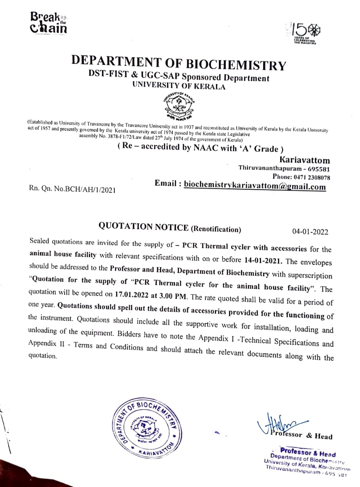



## DEPARTMENT OF BIOCHEMISTRY

DST-FIST & UGC-SAP Sponsored Department UNIVERSITY OF KERALA



(Established as University of Travancore by the Travancore University act in 1937 and reconstituted as University of Kerala by the Kerala University act of 1957 and presently governed by the Kerala university act of 1974

## (Re- accredited by NAAC with 'A' Grade )

Kariavattom Thiruvananthapuram - 695581 Phone: 0471 2308078 Rn. Qn. No.BCH/AH/1/2021 **Email:** biochemistrykariavattom@gmail.com

QUOTATION NOTICE (Renotification) 04-01-2022<br>Sealed quotations are invited for the supply of - PCR Thermal cycler with accessories for the animal house facility with relevant specifications with on or before 14-01-2021. The envelopes<br>should be addressed to the Professor and Head, Department of Biochemistry with superscription<br>"Quotation for the supply of "PC Appendix II - Terms and Conditions and should attach the relevant documents along with the



essor & Head

Professor&Head Department of Biochemistry ADIN Thiruvananthapuram - 695 981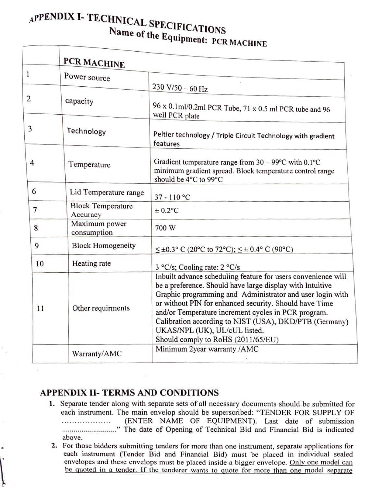## APPENDIX I- TECHNICAL SPECIFICATIONS Name of the Equipment: PCR MACHINE

|                | PCR MACHINE                          |                                                                                                                                                                                                                                                                                                                                                                                                                                           |
|----------------|--------------------------------------|-------------------------------------------------------------------------------------------------------------------------------------------------------------------------------------------------------------------------------------------------------------------------------------------------------------------------------------------------------------------------------------------------------------------------------------------|
| $\mathbf{1}$   | Power source                         |                                                                                                                                                                                                                                                                                                                                                                                                                                           |
|                |                                      | $230 V/50 - 60 Hz$                                                                                                                                                                                                                                                                                                                                                                                                                        |
| $\overline{2}$ | capacity                             | 96 x 0.1ml/0.2ml PCR Tube, 71 x 0.5 ml PCR tube and 96<br>well PCR plate                                                                                                                                                                                                                                                                                                                                                                  |
| 3              | Technology                           | Peltier technology / Triple Circuit Technology with gradient<br>features                                                                                                                                                                                                                                                                                                                                                                  |
| 4              | Temperature                          | Gradient temperature range from $30 - 99^{\circ}$ C with 0.1°C<br>minimum gradient spread. Block temperature control range<br>should be 4°C to 99°C                                                                                                                                                                                                                                                                                       |
| 6              | Lid Temperature range                | $37 - 110$ °C                                                                                                                                                                                                                                                                                                                                                                                                                             |
| 7              | <b>Block Temperature</b><br>Accuracy | $\pm$ 0.2°C                                                                                                                                                                                                                                                                                                                                                                                                                               |
| 8              | Maximum power<br>consumption         | 700 W                                                                                                                                                                                                                                                                                                                                                                                                                                     |
| 9              | <b>Block Homogeneity</b>             | $\leq \pm 0.3$ ° C (20°C to 72°C); $\leq \pm 0.4$ ° C (90°C)                                                                                                                                                                                                                                                                                                                                                                              |
| 10             | Heating rate                         | 3 °C/s; Cooling rate: 2 °C/s                                                                                                                                                                                                                                                                                                                                                                                                              |
| 11             | Other requirments                    | Inbuilt advance scheduling feature for users convenience will<br>be a preference. Should have large display with Intuitive<br>Graphic programming and Administrator and user login with<br>or without PIN for enhanced security. Should have Time<br>and/or Temperature increment cycles in PCR program.<br>Calibration according to NIST (USA), DKD/PTB (Germany)<br>UKAS/NPL (UK), UL/cUL listed.<br>Should comply to RoHS (2011/65/EU) |
|                | Warranty/AMC                         | Minimum 2year warranty /AMC                                                                                                                                                                                                                                                                                                                                                                                                               |

## APPENDIX II- TERMS AND CONDITIONS

- 1. Separate tender along with separate sets of all necessary documents should be submitted for each instrument. The main envelop should be superscribed: "TENDER FOR SUPPLY OF (ENTER NAME OF EQUIPMENT). Last date of submission .........................." The date of Opening of Technical Bid and Financial Bid is indicated \*\*\*\*\*\*\*\*\*\*\*\*\*\*\*\*\* above.
- 2. For those bidders submitting tenders for more than one instrument, separate applications for each instrument (Tender Bid and Financial Bid) must be placed in individual sealed envelopes and these envelops must be placed inside a bigger envelope. Only one model can be quoted in a tender. If the tenderer wants to quote for more than one model separate